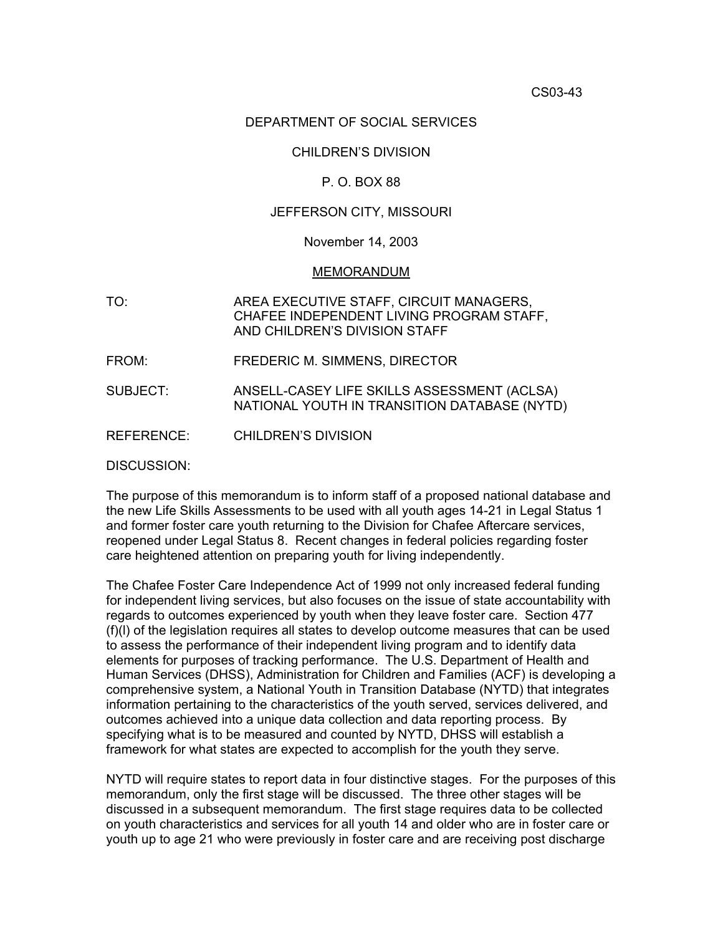## DEPARTMENT OF SOCIAL SERVICES

# CHILDREN'S DIVISION

# P. O. BOX 88

### JEFFERSON CITY, MISSOURI

#### November 14, 2003

#### MEMORANDUM

- TO: AREA EXECUTIVE STAFF, CIRCUIT MANAGERS, CHAFEE INDEPENDENT LIVING PROGRAM STAFF, AND CHILDREN'S DIVISION STAFF
- FROM: FREDERIC M. SIMMENS, DIRECTOR
- SUBJECT: ANSELL-CASEY LIFE SKILLS ASSESSMENT (ACLSA) NATIONAL YOUTH IN TRANSITION DATABASE (NYTD)
- REFERENCE: CHILDREN'S DIVISION

DISCUSSION:

The purpose of this memorandum is to inform staff of a proposed national database and the new Life Skills Assessments to be used with all youth ages 14-21 in Legal Status 1 and former foster care youth returning to the Division for Chafee Aftercare services, reopened under Legal Status 8. Recent changes in federal policies regarding foster care heightened attention on preparing youth for living independently.

The Chafee Foster Care Independence Act of 1999 not only increased federal funding for independent living services, but also focuses on the issue of state accountability with regards to outcomes experienced by youth when they leave foster care. Section 477 (f)(l) of the legislation requires all states to develop outcome measures that can be used to assess the performance of their independent living program and to identify data elements for purposes of tracking performance. The U.S. Department of Health and Human Services (DHSS), Administration for Children and Families (ACF) is developing a comprehensive system, a National Youth in Transition Database (NYTD) that integrates information pertaining to the characteristics of the youth served, services delivered, and outcomes achieved into a unique data collection and data reporting process. By specifying what is to be measured and counted by NYTD, DHSS will establish a framework for what states are expected to accomplish for the youth they serve.

NYTD will require states to report data in four distinctive stages. For the purposes of this memorandum, only the first stage will be discussed. The three other stages will be discussed in a subsequent memorandum. The first stage requires data to be collected on youth characteristics and services for all youth 14 and older who are in foster care or youth up to age 21 who were previously in foster care and are receiving post discharge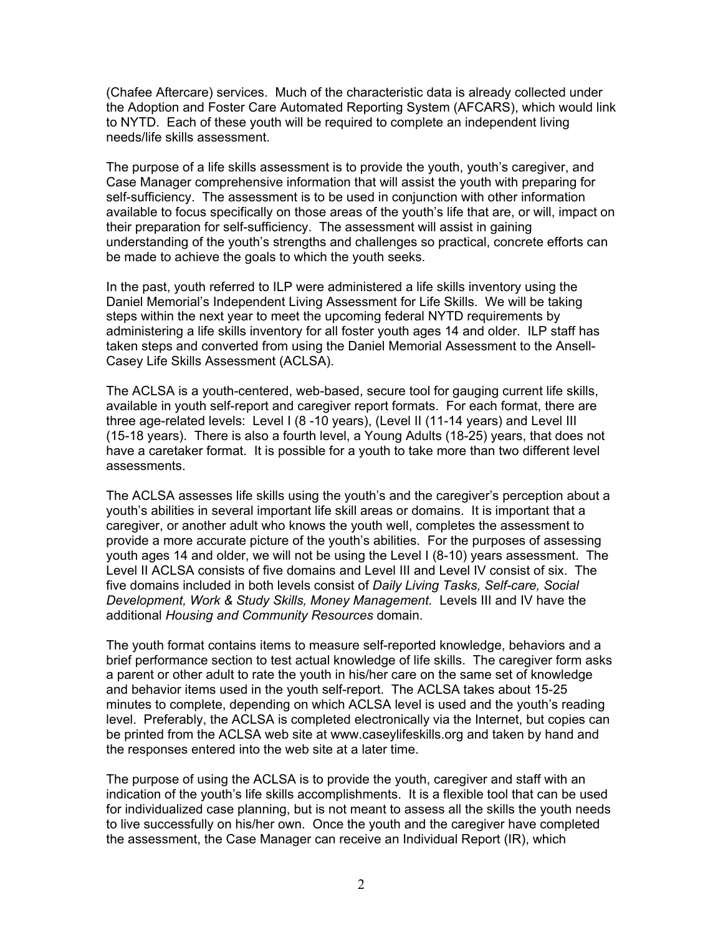(Chafee Aftercare) services. Much of the characteristic data is already collected under the Adoption and Foster Care Automated Reporting System (AFCARS), which would link to NYTD. Each of these youth will be required to complete an independent living needs/life skills assessment.

The purpose of a life skills assessment is to provide the youth, youth's caregiver, and Case Manager comprehensive information that will assist the youth with preparing for self-sufficiency. The assessment is to be used in conjunction with other information available to focus specifically on those areas of the youth's life that are, or will, impact on their preparation for self-sufficiency. The assessment will assist in gaining understanding of the youth's strengths and challenges so practical, concrete efforts can be made to achieve the goals to which the youth seeks.

In the past, youth referred to ILP were administered a life skills inventory using the Daniel Memorial's Independent Living Assessment for Life Skills. We will be taking steps within the next year to meet the upcoming federal NYTD requirements by administering a life skills inventory for all foster youth ages 14 and older. ILP staff has taken steps and converted from using the Daniel Memorial Assessment to the Ansell-Casey Life Skills Assessment (ACLSA).

The ACLSA is a youth-centered, web-based, secure tool for gauging current life skills, available in youth self-report and caregiver report formats. For each format, there are three age-related levels: Level I (8 -10 years), (Level II (11-14 years) and Level III (15-18 years). There is also a fourth level, a Young Adults (18-25) years, that does not have a caretaker format. It is possible for a youth to take more than two different level assessments.

The ACLSA assesses life skills using the youth's and the caregiver's perception about a youth's abilities in several important life skill areas or domains. It is important that a caregiver, or another adult who knows the youth well, completes the assessment to provide a more accurate picture of the youth's abilities. For the purposes of assessing youth ages 14 and older, we will not be using the Level I (8-10) years assessment. The Level II ACLSA consists of five domains and Level III and Level IV consist of six. The five domains included in both levels consist of *Daily Living Tasks, Self-care, Social Development, Work & Study Skills, Money Management.* Levels III and IV have the additional *Housing and Community Resources* domain.

The youth format contains items to measure self-reported knowledge, behaviors and a brief performance section to test actual knowledge of life skills. The caregiver form asks a parent or other adult to rate the youth in his/her care on the same set of knowledge and behavior items used in the youth self-report. The ACLSA takes about 15-25 minutes to complete, depending on which ACLSA level is used and the youth's reading level. Preferably, the ACLSA is completed electronically via the Internet, but copies can be printed from the ACLSA web site at [www.caseylifeskills.org](http://www.caseylifeskills.org/) and taken by hand and the responses entered into the web site at a later time.

The purpose of using the ACLSA is to provide the youth, caregiver and staff with an indication of the youth's life skills accomplishments. It is a flexible tool that can be used for individualized case planning, but is not meant to assess all the skills the youth needs to live successfully on his/her own. Once the youth and the caregiver have completed the assessment, the Case Manager can receive an Individual Report (IR), which